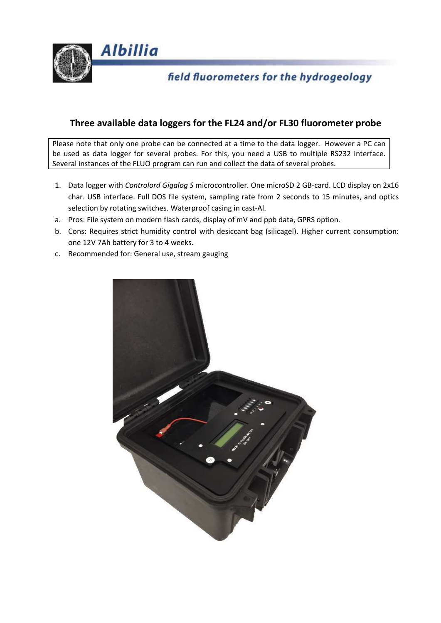

# field fluorometers for the hydrogeology

## **Three available data loggers for the FL24 and/or FL30 fluorometer probe**

Please note that only one probe can be connected at a time to the data logger. However a PC can be used as data logger for several probes. For this, you need a USB to multiple RS232 interface. Several instances of the FLUO program can run and collect the data of several probes.

- 1. Data logger with *Controlord Gigalog S* microcontroller. One microSD 2 GB-card. LCD display on 2x16 char. USB interface. Full DOS file system, sampling rate from 2 seconds to 15 minutes, and optics selection by rotating switches. Waterproof casing in cast-Al.
- a. Pros: File system on modern flash cards, display of mV and ppb data, GPRS option.
- b. Cons: Requires strict humidity control with desiccant bag (silicagel). Higher current consumption: one 12V 7Ah battery for 3 to 4 weeks.
- c. Recommended for: General use, stream gauging

**Albillia** 

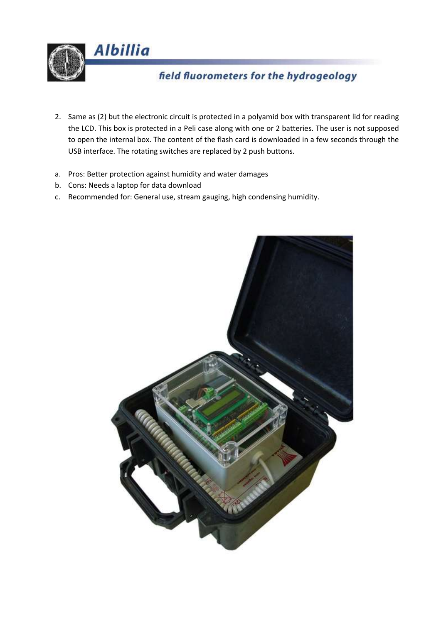

# field fluorometers for the hydrogeology

- 2. Same as (2) but the electronic circuit is protected in a polyamid box with transparent lid for reading the LCD. This box is protected in a Peli case along with one or 2 batteries. The user is not supposed to open the internal box. The content of the flash card is downloaded in a few seconds through the USB interface. The rotating switches are replaced by 2 push buttons.
- a. Pros: Better protection against humidity and water damages
- b. Cons: Needs a laptop for data download
- c. Recommended for: General use, stream gauging, high condensing humidity.

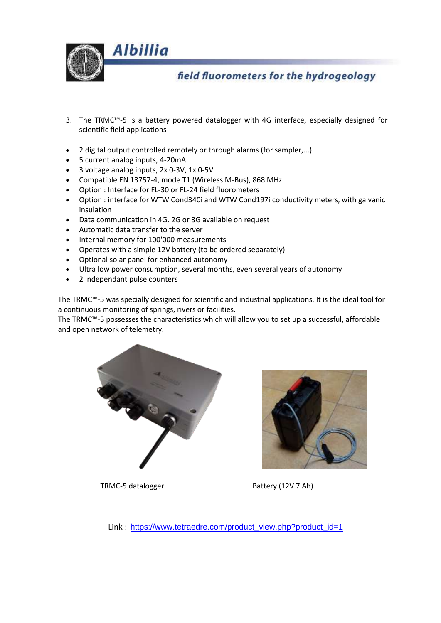

## field fluorometers for the hydrogeology

- 3. The TRMC™-5 is a battery powered datalogger with 4G interface, especially designed for scientific field applications
- 2 digital output controlled remotely or through alarms (for sampler,...)
- 5 current analog inputs, 4-20mA
- 3 voltage analog inputs, 2x 0-3V, 1x 0-5V
- Compatible EN 13757-4, mode T1 (Wireless M-Bus), 868 MHz
- Option : Interface for FL-30 or FL-24 field fluorometers
- Option : interface for WTW Cond340i and WTW Cond197i conductivity meters, with galvanic insulation
- Data communication in 4G. 2G or 3G available on request
- Automatic data transfer to the server
- Internal memory for 100'000 measurements
- Operates with a simple 12V battery (to be ordered separately)
- Optional solar panel for enhanced autonomy
- Ultra low power consumption, several months, even several years of autonomy
- 2 independant pulse counters

The TRMC™-5 was specially designed for scientific and industrial applications. It is the ideal tool for a continuous monitoring of springs, rivers or facilities.

The TRMC™-5 possesses the characteristics which will allow you to set up a successful, affordable and open network of telemetry.





TRMC-5 datalogger Battery (12V 7 Ah)

Link : [https://www.tetraedre.com/product\\_view.php?product\\_id=1](https://www.tetraedre.com/product_view.php?product_id=1)